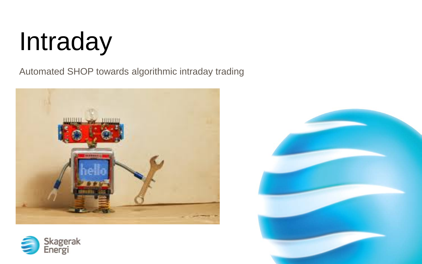# Intraday

Automated SHOP towards algorithmic intraday trading





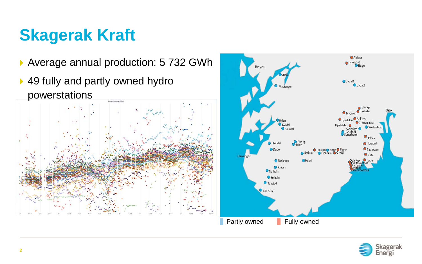## **Skagerak Kraft**



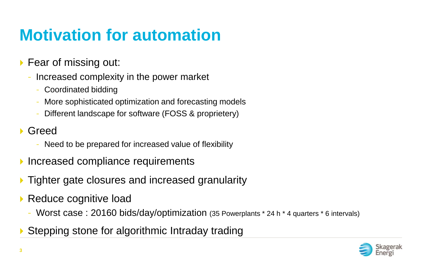## **Motivation for automation**

- ▶ Fear of missing out:
	- Increased complexity in the power market
		- Coordinated bidding
		- More sophisticated optimization and forecasting models
		- Different landscape for software (FOSS & proprietery)
- Greed
	- Need to be prepared for increased value of flexibility
- Increased compliance requirements
- Tighter gate closures and increased granularity
- ▶ Reduce cognitive load
	- Worst case : 20160 bids/day/optimization (35 Powerplants \* 24 h \* 4 quarters \* 6 intervals)
- Stepping stone for algorithmic Intraday trading

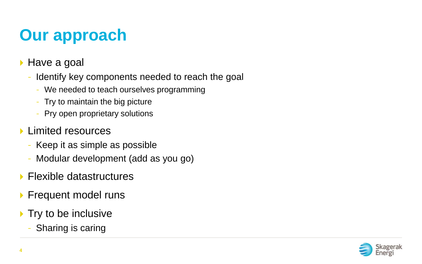# **Our approach**

- ▶ Have a goal
	- Identify key components needed to reach the goal
		- We needed to teach ourselves programming
		- Try to maintain the big picture
		- Pry open proprietary solutions
- **Limited resources** 
	- Keep it as simple as possible
	- Modular development (add as you go)
- **Flexible datastructures**
- **Frequent model runs**
- $\blacktriangleright$  Try to be inclusive
	- Sharing is caring

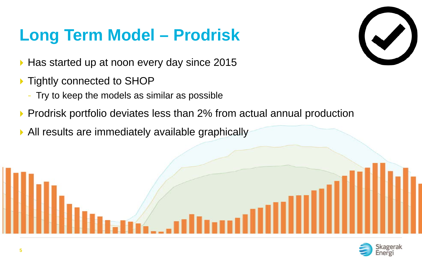## **Long Term Model – Prodrisk**

- ▶ Has started up at noon every day since 2015
- ▶ Tightly connected to SHOP
	- Try to keep the models as similar as possible
- ▶ Prodrisk portfolio deviates less than 2% from actual annual production
- All results are immediately available graphically



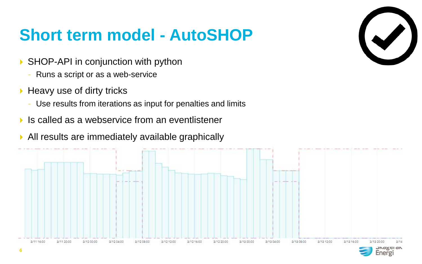#### **Short term model - AutoSHOP**

- ▶ SHOP-API in conjunction with python
	- Runs a script or as a web-service
- $\blacktriangleright$  Heavy use of dirty tricks
	- Use results from iterations as input for penalties and limits
- $\blacktriangleright$  Is called as a webservice from an eventlistener
- All results are immediately available graphically



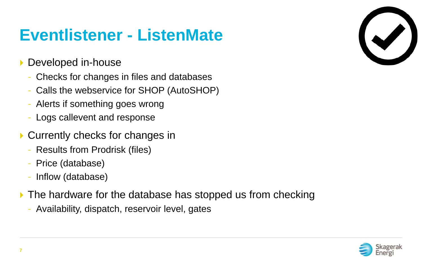#### **Eventlistener - ListenMate**

- **Developed in-house** 
	- Checks for changes in files and databases
	- Calls the webservice for SHOP (AutoSHOP)
	- Alerts if something goes wrong
	- Logs callevent and response
- ▶ Currently checks for changes in
	- Results from Prodrisk (files)
	- Price (database)
	- Inflow (database)
- The hardware for the database has stopped us from checking
	- Availability, dispatch, reservoir level, gates



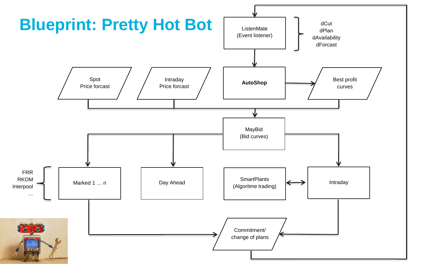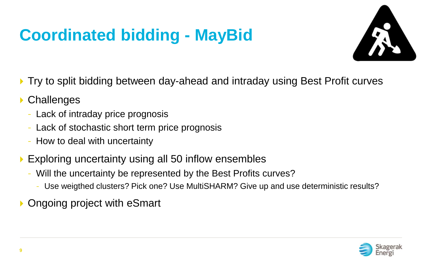# **Coordinated bidding - MayBid**



- Try to split bidding between day-ahead and intraday using Best Profit curves
- **▶ Challenges** 
	- Lack of intraday price prognosis
	- Lack of stochastic short term price prognosis
	- How to deal with uncertainty
- Exploring uncertainty using all 50 inflow ensembles
	- Will the uncertainty be represented by the Best Profits curves?
		- Use weigthed clusters? Pick one? Use MultiSHARM? Give up and use deterministic results?

Ongoing project with eSmart

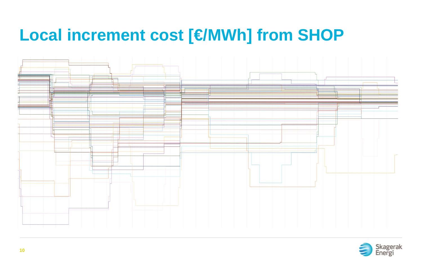#### **Local increment cost [€/MWh] from SHOP**



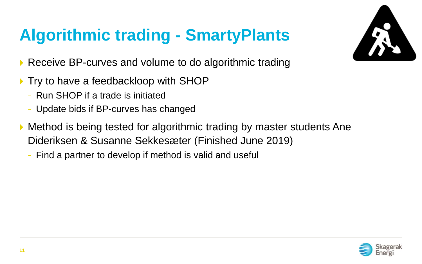# **Algorithmic trading - SmartyPlants**



- ▶ Receive BP-curves and volume to do algorithmic trading
- ▶ Try to have a feedbackloop with SHOP
	- Run SHOP if a trade is initiated
	- Update bids if BP-curves has changed
- Method is being tested for algorithmic trading by master students Ane Dideriksen & Susanne Sekkesæter (Finished June 2019)
	- Find a partner to develop if method is valid and useful

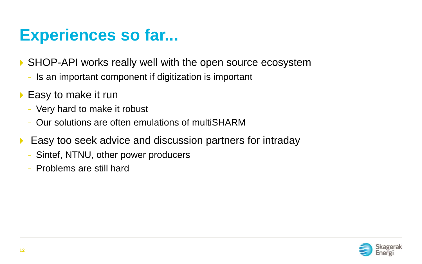#### **Experiences so far...**

SHOP-API works really well with the open source ecosystem

- Is an important component if digitization is important
- ▶ Easy to make it run
	- Very hard to make it robust
	- Our solutions are often emulations of multiSHARM
- **Easy too seek advice and discussion partners for intraday** 
	- Sintef, NTNU, other power producers
	- Problems are still hard